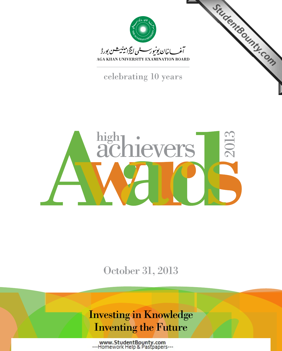

StudentBounty.com



AGA KHAN UNIVERSITY EXAMINATION BOARD

celebrating 10 years



October 31, 2013

### Investing in Knowledge Inventing the Future

www.StudentBounty.com<br>---Homework Help & Pastpapers---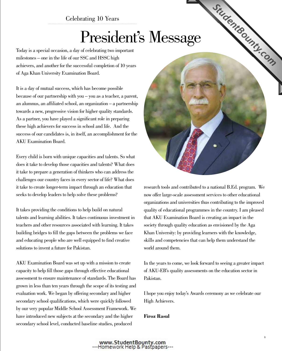### Celebrating 10 Years

# President's Mess[age](http://www.StudentBounty.com)

Today is a special occasion, a day of celebrating two important milestones – one in the life of our SSC and HSSC high achievers, and another for the successful completion of 10 years of Aga Khan University Examination Board.

It is a day of mutual success, which has become possible because of our partnership with you – you as a teacher, a parent, an alumnus, an affiliated school, an organization – a partnership towards a new, progressive vision for higher quality standards. As a partner, you have played a significant role in preparing these high achievers for success in school and life. And the success of our candidates is, in itself, an accomplishment for the AKU Examination Board.

Every child is born with unique capacities and talents. So what does it take to develop those capacities and talents? What does it take to prepare a generation of thinkers who can address the challenges our country faces in every sector of life? What does it take to create longer-term impact through an education that seeks to develop leaders to help solve these problems?

It takes providing the conditions to help build on natural talents and learning abilities. It takes continuous investment in teachers and other resources associated with learning. It takes building bridges to fill the gaps between the problems we face and educating people who are well equipped to find creative solutions to invent a future for Pakistan.

AKU Examination Board was set up with a mission to create capacity to help fill those gaps through effective educational assessment to ensure maintenance of standards. The Board has grown in less than ten years through the scope of its testing and evaluation work. We began by offering secondary and higher secondary school qualifications, which were quickly followed by our very popular Middle School Assessment Framework. We have introduced new subjects at the secondary and the higher secondary school level, conducted baseline studies, produced



research tools and contributed to a national B.Ed. program. We now offer large-scale assessment services to other educational organizations and universities thus contributing to the improved quality of educational programmes in the country. I am pleased that AKU Examination Board is creating an impact in the society through quality education as envisioned by the Aga Khan University: by providing learners with the knowledge, skills and competencies that can help them understand the world around them.

In the years to come, we look forward to seeing a greater impact of AKU-EB's quality assessments on the education sector in Pakistan.

I hope you enjoy today's Awards ceremony as we celebrate our High Achievers.

**Firoz Rasul**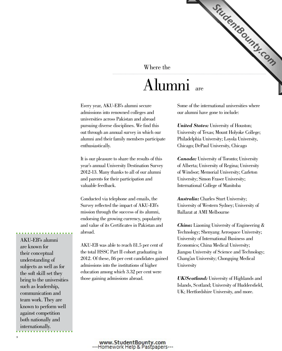### Where the

## Alumn[i](http://www.StudentBounty.com) are

Every year, AKU-EB's alumni secure admissions into renowned colleges and universities across Pakistan and abroad pursuing diverse disciplines. We find this out through an annual survey in which our alumni and their family members participate enthusiastically.

It is our pleasure to share the results of this year's annual University Destination Survey 2012-13. Many thanks to all of our alumni and parents for their participation and valuable feedback.

Conducted via telephone and emails, the Survey reflected the impact of AKU-EB's mission through the success of its alumni, endorsing the growing currency, popularity and value of its Certificates in Pakistan and abroad.

AKU-EB was able to reach 81.5 per cent of the total HSSC Part II cohort graduating in 2012. Of these, 86 per cent candidates gained admissions into the institutions of higher education among which 3.32 per cent were those gaining admissions abroad.

Some of the international universities where our alumni have gone to include:

StudentBounty.com

*United States:* University of Houston; University of Texas; Mount Holyoke College; Philadelphia University; Loyola University, Chicago; DePaul University, Chicago

*Canada:* University of Toronto; University of Alberta; University of Regina; University of Windsor; Memorial University; Carleton University; Simon Fraser University; International College of Manitoba

*Australia:* Charles Sturt University; University of Western Sydney; University of Ballarat at AMI Melbourne

*China:* Liaoning University of Engineering & Technology; Shenyang Aerospace University; University of International Business and Economics; China Medical University; Jiangsu University of Science and Technology; Chang'an University; Chongqing Medical **University** 

*UK/Scotland:* University of Highlands and Islands, Scotland; University of Huddersfield, UK; Hertfordshire University, and more.

AKU-EB's alumni are known for their conceptual understanding of subjects as well as for the soft skill set they bring to the universities such as leadership, communication and team work. They are known to perform well against competition both nationally and internationally.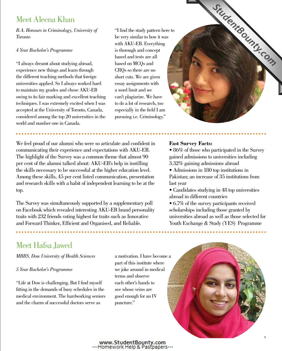### Meet Aleena Khan

*B.A. Honours in Criminology, University of Toronto*

### *4 Year Bachelor's Programme*

"I always dreamt about studying abroad, experience new things and learn through the different teaching methods that foreign universities applied. So I always worked hard to maintain my grades and chose AKU-EB owing to its fair marking and excellent teaching techniques. I was extremely excited when I was accepted at the University of Toronto, Canada, considered among the top 20 universities in the world and number one in Canada.

"I find the study pattern here to be very similar to how it was with AKU-EB. Everything is thorough and concept based and tests are all based on MCQs and CRQs so there are no short cuts. We are given essay assignments with a word limit and we can't plagiarize. We have to do a lot of research, too especially in the field I am pursuing i.e. Criminology."



The Survey was simultaneously supported by a supplementary poll on Facebook which revealed interesting AKU-EB brand personality traits with 232 friends voting highest for traits such as Innovative and Forward Thinker, Efficient and Organised, and Reliable.

### **Fast Survey Facts:**

• 86% of those who participated in the Survey gained admissions to universities including 3.32% gaining admissions abroad

StudentBounty.com

- Admissions in 180 top institutions in Pakistan; an increase of 35 institutions from last year
- Candidates studying in 48 top universities abroad in different countries
- 6.7% of the survey participants received scholarships including those granted by universities abroad as well as those selected for Youth Exchange & Study (YES) Programme

### Meet Hafsa Jawed

*MBBS, Dow University of Health Sciences* 

### *5 Year Bachelor's Programme*

"Life at Dow is challenging. But I find myself fitting in the demands of busy schedules in the medical environment. The hardworking seniors and the charm of successful doctors serve as

a motivation. I have become a part of this institute where we joke around in medical terms and observe each other's hands to see whose veins are good enough for an IV puncture."

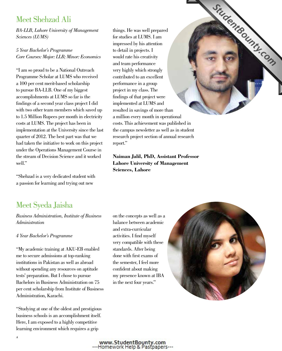### Meet Shehzad Ali

*BA-LLB, Lahore University of Management Sciences (LUMS)*

### *5 Year Bachelor's Programme Core Courses: Major: LLB; Minor: Economics*

"I am so proud to be a National Outreach Programme Scholar at LUMS who received a 100 per cent merit-based scholarship to pursue BA-LLB. One of my biggest accomplishments at LUMS so far is the findings of a second year class project I did with two other team members which saved up to 1.5 Million Rupees per month in electricity costs at LUMS. The project has been in implementation at the University since the last quarter of 2012. The best part was that we had taken the initiative to work on this project under the Operations Management Course in the stream of Decision Science and it worked well"

"Shehzad is a very dedicated student with a passion for learning and trying out new

things. He was well prepared for studies at LUMS. I am impressed by his attention to detail in projects. I would rate his creativity and team performance very highly which strongly contributed to an excellent performance in a group project in my class. The findings of that project were implemented at LUMS and resulted in savings of more than a million every month in operational costs. This achievement was published in the campus newsletter as well as in student research project section of annual research report."

**Naiman Jalil, PhD, Assistant Professor Lahore University of Management Sciences, Lahore**

### Meet Syeda Jaisha

*Business Administration, Institute of Business Administration*

### *4 Year Bachelor's Programme*

"My academic training at AKU-EB enabled me to secure admissions at top-ranking institutions in Pakistan as well as abroad without spending any resources on aptitude tests' preparation. But I chose to pursue Bachelors in Business Administration on 75 per cent scholarship from Institute of Business Administration, Karachi.

"Studying at one of the oldest and prestigious business schools is an accomplishment itself. Here, I am exposed to a highly competitive learning environment which requires a grip

on the concepts as well as a balance between academic and extra-curricular activities. I find myself very compatible with these standards. After being done with first exams of the semester, I feel more confident about making my presence known at IBA in the next four years."



StudentBounty.com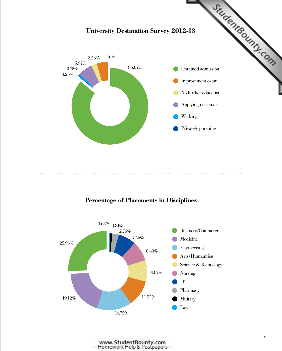

### **Percentage of Placements in Disciplines**

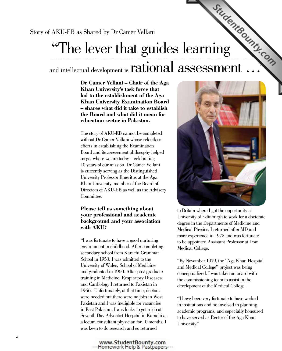Story of AKU-EB as Shared by Dr Camer Vellani

# AKU-EB as Shared by Dr Camer Vellani<br>
"The lever that guides learning

### and intellectual development is **rational assessment**

**Dr Camer Vellani – Chair of the Aga Khan University's task force that led to the establishment of the Aga Khan University Examination Board – shares what did it take to establish the Board and what did it mean for education sector in Pakistan.**

The story of AKU-EB cannot be completed without Dr Camer Vellani whose relentless efforts in establishing the Examination Board and its assessment philosophy helped us get where we are today – celebrating 10 years of our mission. Dr Camer Vellani is currently serving as the Distinguished University Professor Emeritus at the Aga Khan University, member of the Board of Directors of AKU-EB as well as the Advisory Committee.

### **Please tell us something about your professional and academic background and your association with AKU?**

"I was fortunate to have a good nurturing environment in childhood. After completing secondary school from Karachi Grammar School in 1953, I was admitted to the University of Wales, School of Medicine and graduated in 1960. After post-graduate training in Medicine, Respiratory Diseases and Cardiology I returned to Pakistan in 1966. Unfortunately, at that time, doctors were needed but there were no jobs in West Pakistan and I was ineligible for vacancies in East Pakistan. I was lucky to get a job at Seventh Day Adventist Hospital in Karachi as a locum consultant physician for 10 months. I was keen to do research and so returned



to Britain where I got the opportunity at University of Edinburgh to work for a doctorate degree in the Departments of Medicine and Medical Physics. I returned after MD and more experience in 1975 and was fortunate to be appointed Assistant Professor at Dow Medical College.

"By November 1979, the "Aga Khan Hospital and Medical College" project was being conceptualized. I was taken on board with the commissioning team to assist in the development of the Medical College.

"I have been very fortunate to have worked in institutions and be involved in planning academic programs, and especially honoured to have served as Rector of the Aga Khan University."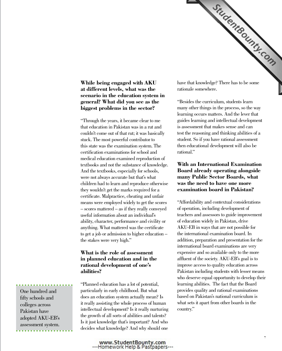

**While being engaged with AKU at different levels, what was the scenario in the education system in general? What did you see as the biggest problems in the sector?** 

"Through the years, it became clear to me that education in Pakistan was in a rut and couldn't come out of that rut; it was basically stuck. The most powerful contributor to this state was the examination system. The certification examinations for school and medical education examined reproduction of textbooks and not the substance of knowledge. And the textbooks, especially for schools, were not always accurate but that's what children had to learn and reproduce otherwise they wouldn't get the marks required for a certificate. Malpractice, cheating and unfair means were employed widely to get the scores – scores mattered – as if they really conveyed useful information about an individual's ability, character, performance and civility or anything. What mattered was the certificate to get a job or admission to higher education – the stakes were very high."

### **What is the role of assessment in planned education and in the rational development of one's abilities?**

"Planned education has a lot of potential, particularly in early childhood. But what does an education system actually mean? Is it really assisting the whole process of human intellectual development? Is it really nurturing the growth of all sorts of abilities and talents? Is it just knowledge that's important? And who decides what knowledge? And why should one

rationale somewhere.

"Besides the curriculum, students learn many other things in the process, so the way learning occurs matters. And the lever that guides learning and intellectual development is assessment that makes sense and can test the reasoning and thinking abilities of a student. So if you have rational assessment then educational development will also be rational."

### **With an International Examination Board already operating alongside many Public Sector Boards, what was the need to have one more examination board in Pakistan?**

"Affordability and contextual considerations of operation, including development of teachers and assessors to guide improvement of education widely in Pakistan, drive AKU-EB in ways that are not possible for the international examination board. In addition, preparation and presentation for the international board examinations are very expensive and so available only to the more affluent of the society. AKU-EB's goal is to improve access to quality education across Pakistan including students with lesser means who deserve equal opportunity to develop their learning abilities. The fact that the Board provides quality and rational examinations based on Pakistan's national curriculum is what sets it apart from other boards in the country."

One hundred and fifty schools and colleges across Pakistan have adopted AKU-EB's assessment system.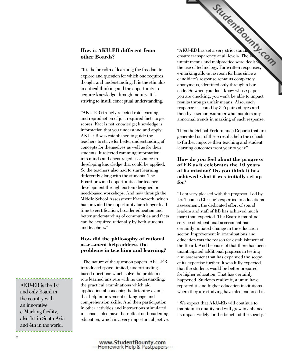### **How is AKU-EB different from other Boards?**

"It's the breadth of learning; the freedom to explore and question for which one requires thought and understanding. It is the stimulus to critical thinking and the opportunity to acquire knowledge through inquiry. It is striving to instill conceptual understanding.

"AKU-EB strongly rejected rote learning and reproduction of just required facts to get scores. Fact is not knowledge; knowledge is information that you understand and apply. AKU-EB was established to guide the teachers to strive for better understanding of concepts for themselves as well as for their students. It rejected ramming information into minds and encouraged assistance in developing knowledge that could be applied. So the teachers also had to start learning differently along with the students. The Board provided opportunities for teacher development through custom designed or need-based workshops. And now through the Middle School Assessment Framework, which has provided the opportunity for a longer lead time to certification, broader education and better understanding of communities and facts can be acquired rationally by both students and teachers."

### **How did the philosophy of rational assessment help address the problems in teaching and learning?**

"The nature of the question papers. AKU-EB introduced space limited, understandingbased questions which solve the problem of rote learned answers with no understanding; the practical examinations which aid application of concepts; the listening exams that help improvement of language and comprehension skills. And then participation in other activities and interactions stimulated in schools also have their effect on broadening education, which is a very important objective.

"AKU-EB has set a very strict standard to "AKU-EB" ensure transparency at all levels. The issues of unfair means and malpractice were dealt the use of technology. For written responses, e-marking allows no room for bias since a candidate's response remains completely anonymous, identified only through a bar code. So when you don't know whose paper you are checking, you won't be able to impact results through unfair means. Also, each response is scored by 5-6 pairs of eyes and then by a senior examiner who monitors any abnormal trends in marking of each response.

Then the School Performance Reports that are generated out of these results help the schools to further improve their teaching and student learning outcomes from year to year."

### **How do you feel about the progress of EB as it celebrates the 10 years of its mission? Do you think it has achieved what it was initially set up for**?

"I am very pleased with the progress. Led by Dr. Thomas Christie's expertise in educational assessment, the dedicated effort of sound leaders and staff of EB has achieved much more than expected. The Board's mainline service of educational assessment has certainly initiated change in the education sector. Improvement in examinations and education was the reason for establishment of the Board. And because of that there has been unanticipated additional progress in testing and assessment that has expanded the scope of its expertise further. It was fully expected that the students would be better prepared for higher education. That has certainly happened. Students realize it, alumni have reported it, and higher education institutions where they are studying have also endorsed it.

''We expect that AKU-EB will continue to maintain its quality and will grow to enhance its impact widely for the benefit of the society."

AKU-EB is the 1st and only Board in the country with an innovative e-Marking facility, also 1st in South Asia and 4th in the world.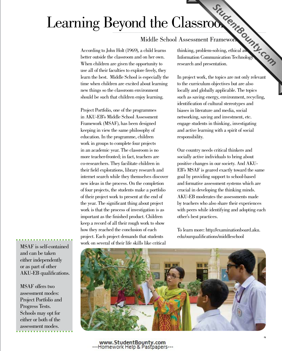# Learning Beyond the Classrooms

### Middle School Assessment Framework

According to John Holt (1969), a child learns better outside the classroom and on her own. When children are given the opportunity to use all of their faculties to explore freely, they learn the best. Middle School is especially the time when children are excited about learning new things so the classroom environment should be such that children enjoy learning.

Project Portfolio, one of the programmes in AKU-EB's Middle School Assessment Framework (MSAF), has been designed keeping in view the same philosophy of education. In the programme, children work in groups to complete four projects in an academic year. The classroom is no more teacher-fronted; in fact, teachers are co-researchers. They facilitate children in their field explorations, library research and internet search while they themselves discover new ideas in the process. On the completion of four projects, the students make a portfolio of their project work to present at the end of the year. The significant thing about project work is that the process of investigation is as important as the finished product. Children keep a record of all their rough work to show how they reached the conclusion of each project. Each project demands that students work on several of their life skills like critical

Thinking, problem-solving, ethical away of thinking, problem-solving, ethical away Information Communication Technology research and presentation.

In project work, the topics are not only relevant to the curriculum objectives but are also locally and globally applicable. The topics such as saving energy, environment, recycling, identification of cultural stereotypes and biases in literature and media, social networking, saving and investment, etc. engage students in thinking, investigating and active learning with a spirit of social responsibility.

Our country needs critical thinkers and socially active individuals to bring about positive changes in our society. And AKU-EB's MSAF is geared exactly toward the same goal by providing support to school-based and formative assessment systems which are crucial in developing the thinking minds. AKU-EB moderates the assessments made by teachers who also share their experiences with peers while identifying and adopting each other's best practices.

To learn more: http://examinationboard.aku. edu/ourqualifications/middleschool



MSAF is self-contained and can be taken either independently or as part of other AKU-EB qualifications.

MSAF offers two assessment modes: Project Portfolio and Progress Tests. Schools may opt for either or both of the assessment modes.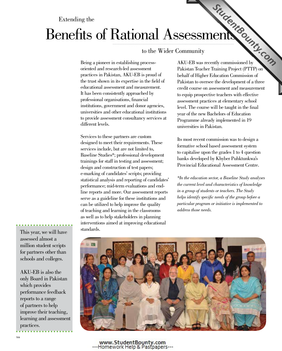### Extending the

# Benefits of Rational Ass[essments](http://www.StudentBounty.com)

### to the Wider Community

Being a pioneer in establishing processoriented and research-led assessment practices in Pakistan, AKU-EB is proud of the trust shown in its expertise in the field of educational assessment and measurement. It has been consistently approached by professional organisations, financial institutions, government and donor agencies, universities and other educational institutions to provide assessment consultancy services at different levels.

Services to these partners are custom designed to meet their requirements. These services include, but are not limited to, Baseline Studies\*; professional development trainings for staff in testing and assessment; design and construction of test papers; e-marking of candidates' scripts; providing statistical analysis and reporting of candidates' performance; mid-term evaluations and endline reports and more. Our assessment reports serve as a guideline for these institutions and can be utilized to help improve the quality of teaching and learning in the classrooms as well as to help stakeholders in planning interventions aimed at improving educational standards.

SSESSMENT CHALL Pakistan Teacher Training Project (PTTP) on behalf of Higher Education Commission of Pakistan to oversee the development of a three credit course on assessment and measurement to equip prospective teachers with effective assessment practices at elementary school level. The course will be taught in the final year of the new Bachelors of Education Programme already implemented in 19 universities in Pakistan.

Its most recent commission was to design a formative school based assessment system to capitalise upon the grades 1 to 4 question banks developed by Khyber Puhktunkwa's Provincial Educational Assessment Centre.

*\*In the education sector, a Baseline Study analyses the current level and characteristics of knowledge in a group of students or teachers. The Study helps identify specific needs of the group before a particular program or initiative is implemented to address those needs.*

This year, we will have assessed almost a million student scripts for partners other than schools and colleges.

AKU-EB is also the only Board in Pakistan which provides performance feedback reports to a range of partners to help improve their teaching, learning and assessment practices.

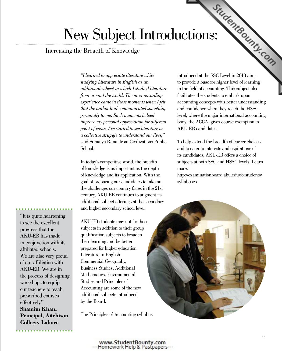# $\text{uctions:} \begin{array}{c} \mathcal{L}_{\text{Z}} \rightarrow \mathcal{L}_{\text{Z}} \rightarrow \mathcal{L}_{\text{Z}} \rightarrow \mathcal{L}_{\text{Z}} \rightarrow \mathcal{L}_{\text{Z}} \rightarrow \mathcal{L}_{\text{Z}} \rightarrow \mathcal{L}_{\text{Z}} \rightarrow \mathcal{L}_{\text{Z}} \rightarrow \mathcal{L}_{\text{Z}} \rightarrow \mathcal{L}_{\text{Z}} \rightarrow \mathcal{L}_{\text{Z}} \rightarrow \mathcal{L}_{\text{Z}} \rightarrow \mathcal{L}_{\text{Z}} \rightarrow \mathcal{L}_{\text{Z}} \rightarrow \mathcal{L}_{\text{Z}} \rightarrow \mathcal{L}_{\text{Z}}$ New Subject Introdu[ctions:](http://www.StudentBounty.com)

### Increasing the Breadth of Knowledge

*"I learned to appreciate literature while studying Literature in English as an additional subject in which I studied literature from around the world. The most rewarding experience came in those moments when I felt that the author had communicated something personally to me. Such moments helped improve my personal appreciation for different point of views. I've started to see literature as a collective struggle to understand our lives,"*  said Sumaiya Rana, from Civilizations Public School.

In today's competitive world, the breadth of knowledge is as important as the depth of knowledge and its application. With the goal of preparing our candidates to take on the challenges our country faces in the 21st century, AKU-EB continues to augment its additional subject offerings at the secondary and higher secondary school level.

AKU-EB students may opt for these subjects in addition to their group qualification subjects to broaden their learning and be better prepared for higher education. Literature in English, Commercial Geography, Business Studies, Additional Mathematics, Environmental Studies and Principles of Accounting are some of the new additional subjects introduced by the Board.

The Principles of Accounting syllabus

to provide a base for higher level of learning in the field of accounting. This subject also facilitates the students to embark upon accounting concepts with better understanding and confidence when they reach the HSSC level, where the major international accounting body, the ACCA, gives course exemption to AKU-EB candidates.

To help extend the breadth of career choices and to cater to interests and aspirations of its candidates, AKU-EB offers a choice of subjects at both SSC and HSSC levels. Learn more:

http://examinationboard.aku.edu/forstudents/ syllabuses



"It is quite heartening to see the excellent progress that the AKU-EB has made in conjunction with its affiliated schools. We are also very proud of our affiliation with AKU-EB. We are in the process of designing workshops to equip our teachers to teach prescribed courses effectively." **Shamim Khan, Principal, Aitchison College, Lahore**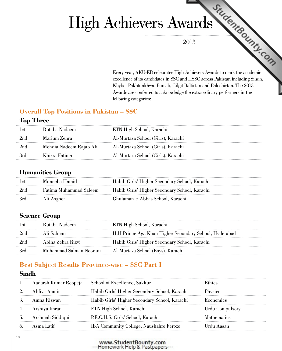# Chievers  $A$ Wandelland 2013<br>2013<br>Every year, AKU-EB celebrates High Achievers Awards to mark the academic High Achievers A[wards](http://www.StudentBounty.com)

2013

excellence of its candidates in SSC and HSSC across Pakistan including Sindh, Khyber Pakhtunkhwa, Punjab, Gilgit Baltistan and Balochistan. The 2013 Awards are conferred to acknowledge the extraordinary performers in the following categories:

### **Overall Top Positions in Pakistan – SSC**

### **Top Three**

|      | Rutaba Nadeem           | ETN High School, Karachi           |
|------|-------------------------|------------------------------------|
| -2nd | Marium Zehra            | Al-Murtaza School (Girls), Karachi |
| -2nd | Mehdia Nadeem Rajab Ali | Al-Murtaza School (Girls), Karachi |
| -3rd | Khizra Fatima           | Al-Murtaza School (Girls), Karachi |

### **Humanities Group**

| l st            | Muneeba Hamid          | Habib Girls' Higher Secondary School, Karachi |
|-----------------|------------------------|-----------------------------------------------|
| 2 <sub>nd</sub> | Fatima Muhammad Saleem | Habib Girls' Higher Secondary School, Karachi |
| -3rd            | Ali Asgher             | Ghulaman-e-Abbas School, Karachi              |

### **Science Group**

|                 | Rutaba Nadeem           | ETN High School, Karachi                               |
|-----------------|-------------------------|--------------------------------------------------------|
| 2 <sub>nd</sub> | Ali Salman              | H.H Prince Aga Khan Higher Secondary School, Hyderabad |
| 2nc             | Abiha Zehra Rizvi       | Habib Girls' Higher Secondary School, Karachi          |
| 3rd             | Muhammad Salman Noorani | Al-Murtaza School (Boys), Karachi                      |

### **Best Subject Results Province-wise – SSC Part I**

### **Sindh**

|                  | Aadarsh Kumar Roopeja School of Excellence, Sukkur | Ethics                 |
|------------------|----------------------------------------------------|------------------------|
| Alifiya Aamir    | Habib Girls' Higher Secondary School, Karachi      | Physics                |
| - Amna Rizwan    | Habib Girls' Higher Secondary School, Karachi      | Economics              |
| Arshiya Imran    | ETN High School, Karachi                           | <b>Urdu Compulsory</b> |
| Arshmah Siddiqui | P.E.C.H.S. Girls' School, Karachi                  | <b>Mathematics</b>     |
| Asma Latif       | IBA Community College, Naushahro Feroze            | Urdu Aasan             |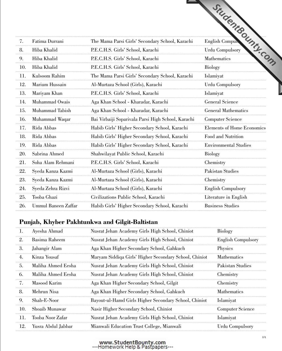|          |                            |                                                    | sugente dunny.com                 |
|----------|----------------------------|----------------------------------------------------|-----------------------------------|
|          |                            |                                                    |                                   |
|          |                            |                                                    |                                   |
| 7.       | Fatima Durrani             | The Mama Parsi Girls' Secondary School, Karachi    |                                   |
| 8.       | Hiba Khalid                | P.E.C.H.S. Girls' School, Karachi                  |                                   |
| 9.       | Hiba Khalid                | P.E.C.H.S. Girls' School, Karachi                  |                                   |
| 10.      | Hiba Khalid                | P.E.C.H.S. Girls' School, Karachi                  | Biology                           |
| 11.      | Kulsoom Rahim              | The Mama Parsi Girls' Secondary School, Karachi    | Islamiyat                         |
| 12.      | Marium Hussain             | Al-Murtaza School (Girls), Karachi                 | <b>Urdu Compulsory</b>            |
| 13.      | Mariyam Khan               | P.E.C.H.S. Girls' School, Karachi                  | Islamiyat                         |
| 14.      | Muhammad Owais             | Aga Khan School - Kharadar, Karachi                | <b>General Science</b>            |
| 15.      | Muhammad Tabish            | Aga Khan School - Kharadar, Karachi                | <b>General Mathematics</b>        |
| 16.      | Muhammad Waqar             | Bai Virbaiji Soparivala Parsi High School, Karachi | <b>Computer Science</b>           |
| 17.<br>. | Rida Abbas                 | Habib Girls' Higher Secondary School, Karachi      | <b>Elements of Home Economics</b> |
| 18.      | Rida Abbas                 | Habib Girls' Higher Secondary School, Karachi      | Food and Nutrition                |
| 19.      | Rida Abbas                 | Habib Girls' Higher Secondary School, Karachi      | <b>Environmental Studies</b>      |
| 20.      | Sabrina Ahmed              | Shahwilayat Public School, Karachi                 | <b>Biology</b>                    |
| 21.      | Soha Alam Rehmani          | P.E.C.H.S. Girls' School, Karachi                  | Chemistry                         |
| 22.      | Syeda Kanza Kazmi          | Al-Murtaza School (Girls), Karachi                 | Pakistan Studies                  |
| 23.      | Syeda Kanza Kazmi          | Al-Murtaza School (Girls), Karachi                 | Chemistry                         |
| 24.      | Syeda Zehra Rizvi          | Al-Murtaza School (Girls), Karachi                 | <b>English Compulsory</b>         |
| 25.      | Tooba Ghazi                | Civilizations Public School, Karachi               | Literature in English             |
| 26.      | <b>Ummul Baneen Zaffar</b> | Habib Girls' Higher Secondary School, Karachi      | <b>Business Studies</b>           |

| Τ.  | Ayesha Ahmad       | Nusrat Jehan Academy Girls High School, Chiniot        | <b>Biology</b>            |
|-----|--------------------|--------------------------------------------------------|---------------------------|
| 2.  | Basima Raheem      | Nusrat Jehan Academy Girls High School, Chiniot        | <b>English Compulsory</b> |
| 3.  | Jahangir Alam      | Aga Khan Higher Secondary School, Gahkuch              | Physics                   |
| 4.  | Kinza Yousaf       | Maryam Siddiqa Girls' Higher Secondary School, Chiniot | <b>Mathematics</b>        |
| .5. | Maliha Ahmed Eesha | Nusrat Jehan Academy Girls High School, Chiniot        | Pakistan Studies          |
| 6.  | Maliha Ahmed Eesha | Nusrat Jehan Academy Girls High School, Chiniot        | Chemistry                 |
| 7.  | Masood Karim       | Aga Khan Higher Secondary School, Gilgit               | Chemistry                 |
| 8.  | Mehrun Nisa        | Aga Khan Higher Secondary School, Gahkuch              | <b>Mathematics</b>        |
| 9.  | Shab-E-Noor        | Bayout-ul-Hamd Girls Higher Secondary School, Chiniot  | Islamiyat                 |
| 10. | Shoaib Munawar     | Nasir Higher Secondary School, Chiniot                 | <b>Computer Science</b>   |
| 11. | Tooba Noor Zafar   | Nusrat Jehan Academy Girls High School, Chiniot        | Islamiyat                 |
| 12. | Yusra Abdul Jabbar | Mianwali Education Trust College, Mianwali             | <b>Urdu Compulsory</b>    |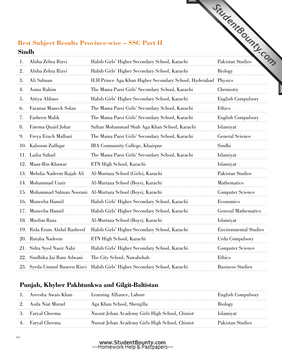### **Best Subject Results Province-wise – SSC Part II Sindh**

|    |                             |                                                                            | °c                           |
|----|-----------------------------|----------------------------------------------------------------------------|------------------------------|
| 1. | Abiha Zehra Rizvi           | Habib Girls' Higher Secondary School, Karachi                              | Pakistan Studies             |
| 2. | Abiha Zehra Rizvi           | Habib Girls' Higher Secondary School, Karachi                              | Biology                      |
| 3. | Ali Salman                  | H.H Prince Aga Khan Higher Secondary School, Hyderabad Physics             |                              |
| 4. | Asma Rahim                  | The Mama Parsi Girls' Secondary School, Karachi                            | Chemistry                    |
| 5. | Attiya Abbass               | Habib Girls' Higher Secondary School, Karachi                              | <b>English Compulsory</b>    |
| 6. | Faranaz Maneck Solan        | The Mama Parsi Girls' Secondary School, Karachi                            | Ethics                       |
| 7. | Farheen Malik               | The Mama Parsi Girls' Secondary School, Karachi                            | <b>English Compulsory</b>    |
| 8. | Fatema Quaid Johar          | Sultan Mohammad Shah Aga Khan School, Karachi                              | Islamiyat                    |
| 9. | Freya Eruch Malbari         | The Mama Parsi Girls' Secondary School, Karachi                            | General Science              |
|    | 10. Kalsoom Zulfiqar        | IBA Community College, Khairpur                                            | Sindhi                       |
|    | 11. Laiba Suhail            | The Mama Parsi Girls' Secondary School, Karachi                            | Islamiyat                    |
|    | 12. Maaz-Bin-Khawar         | ETN High School, Karachi                                                   | Islamiyat                    |
|    | 13. Mehdia Nadeem Rajab Ali | Al-Murtaza School (Girls), Karachi                                         | Pakistan Studies             |
|    | 14. Mohammad Uzair          | Al-Murtaza School (Boys), Karachi                                          | Mathematics                  |
|    |                             | 15. Muhammad Salman Noorani Al-Murtaza School (Boys), Karachi              | <b>Computer Science</b>      |
|    | 16. Muneeba Hamid           | Habib Girls' Higher Secondary School, Karachi                              | Economics                    |
|    | 17. Muneeba Hamid           | Habib Girls' Higher Secondary School, Karachi                              | <b>General Mathematics</b>   |
|    | 18. Muslim Raza             | Al-Murtaza School (Boys), Karachi                                          | Islamiyat                    |
|    | 19. Rida Erum Abdul Rasheed | Habib Girls' Higher Secondary School, Karachi                              | <b>Environmental Studies</b> |
|    | 20. Rutaba Nadeem           | ETN High School, Karachi                                                   | Urdu Compulsory              |
|    | 21. Sidra Syed Nasir Nabi   | Habib Girls' Higher Secondary School, Karachi                              | Computer Science             |
|    | 22. Sindhika Jai Ram Adwani | The City School, Nawabshah                                                 | Ethics                       |
|    |                             | 23. Syeda Ummul Baneen Rizvi Habib Girls' Higher Secondary School, Karachi | <b>Business Studies</b>      |

| Areesha Awais Khan | Learning Alliance, Lahore                       | <b>English Compulsory</b> |
|--------------------|-------------------------------------------------|---------------------------|
| – Asifa Niat Murad | Aga Khan School, Sherqilla                      | <b>Biology</b>            |
| 3. Faryal Cheema   | Nusrat Jehan Academy Girls High School, Chiniot | <b>Islamiyat</b>          |
| 4. Faryal Cheema   | Nusrat Jehan Academy Girls High School, Chiniot | Pakistan Studies          |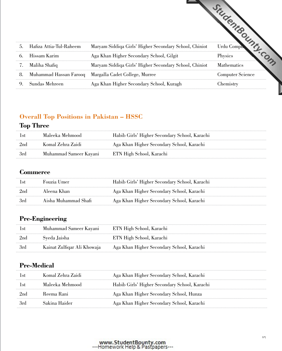| 5 <sub>1</sub> | Hafiza Attia-Tul-Raheem | Maryam Siddiqa Girls' Higher Secondary School, Chiniot | Urdu Compi              |
|----------------|-------------------------|--------------------------------------------------------|-------------------------|
| 6.             | Hissam Karim            | Aga Khan Higher Secondary School, Gilgit               | Physics                 |
|                | Maliha Shafiq           | Maryam Siddiqa Girls' Higher Secondary School, Chiniot | <b>Mathematics</b>      |
| 8.             |                         | Muhammad Hassan Farooq Margalla Cadet College, Murree  | <b>Computer Science</b> |
| 9.             | Sundas Mehreen          | Aga Khan Higher Secondary School, Kuragh               | Chemistry               |

### **Overall Top Positions in Pakistan – HSSC**

### **Top Three**

|                 | -Maleeka Mehmood       | Habib Girls' Higher Secondary School, Karachi |
|-----------------|------------------------|-----------------------------------------------|
| 2 <sub>nd</sub> | Komal Zehra Zaidi      | Aga Khan Higher Secondary School, Karachi     |
| -3rd            | Muhammad Sameer Kayani | ETN High School, Karachi                      |

### **Commerce**

| l si  | Fouzia Umer          | Habib Girls' Higher Secondary School, Karachi |
|-------|----------------------|-----------------------------------------------|
| -2nd  | Aleena Khan          | Aga Khan Higher Secondary School, Karachi     |
| – 3rd | Aisha Muhammad Shafi | Aga Khan Higher Secondary School, Karachi     |

### **Pre-Engineering**

| 1st   | Muhammad Sameer Kayani      | ETN High School, Karachi                  |
|-------|-----------------------------|-------------------------------------------|
| -2nd  | Syeda Jaisha                | ETN High School, Karachi                  |
| - 3rd | Kainat Zulfiqar Ali Khowaja | Aga Khan Higher Secondary School, Karachi |

### **Pre-Medical**

| l st | Komal Zehra Zaidi | Aga Khan Higher Secondary School, Karachi     |
|------|-------------------|-----------------------------------------------|
| Lst  | Maleeka Mehmood   | Habib Girls' Higher Secondary School, Karachi |
| 2nd  | Reema Rani        | Aga Khan Higher Secondary School, Hunza       |
| 3rd  | Sakina Haider     | Aga Khan Higher Secondary School, Karachi     |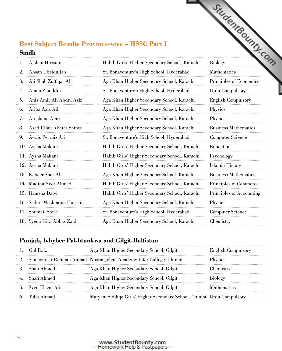### **Best Subject Results Province-wise – HSSC Part I Sindh**

| Afshan Hussain<br>1.              | Habib Girls' Higher Secondary School, Karachi | <b>Biology</b>              |
|-----------------------------------|-----------------------------------------------|-----------------------------|
| Ahsan Ubaidullah<br>2.            | St. Bonaventure's High School, Hyderabad      | Mathematics                 |
| Ali Shah Zulfiqar Ali<br>3.       | Aga Khan Higher Secondary School, Karachi     | Principles of Economics     |
| Amna Ziauddin<br>4.               | St. Bonaventure's High School, Hyderabad      | <b>Urdu Compulsory</b>      |
| Anis Amir Ali Abdul Aziz<br>5.    | Aga Khan Higher Secondary School, Karachi     | <b>English Compulsory</b>   |
| Ariba Aziz Ali<br>6.              | Aga Khan Higher Secondary School, Karachi     | Physics                     |
| Arushana Amir<br>7.               | Aga Khan Higher Secondary School, Karachi     | Physics                     |
| - Asad Ullah Akhtar Shirazi<br>8. | Aga Khan Higher Secondary School, Karachi     | <b>Business Mathematics</b> |
| 9. Awais Pervaiz Ali              | St. Bonaventure's High School, Hyderabad      | <b>Computer Science</b>     |
| 10. Aysha Makani                  | Habib Girls' Higher Secondary School, Karachi | Education                   |
| 11. Aysha Makani                  | Habib Girls' Higher Secondary School, Karachi | Psychology                  |
| 12. Aysha Makani                  | Habib Girls' Higher Secondary School, Karachi | Islamic History             |
| 13. Kabeer Sher Ali               | Aga Khan Higher Secondary School, Karachi     | <b>Business Mathematics</b> |
| 14. Madiha Noor Ahmed             | Habib Girls' Higher Secondary School, Karachi | Principles of Commerce      |
| 15. Ramsha Dalvi                  | Habib Girls' Higher Secondary School, Karachi | Principles of Accounting    |
| 16. Sadori Mushtaque Hussain      | Aga Khan Higher Secondary School, Karachi     | Physics                     |
| 17. Shumail Steve                 | St. Bonaventure's High School, Hyderabad      | Computer Science            |
| 18. Syeda Hira Abbas Zaidi        | Aga Khan Higher Secondary School, Karachi     | Chemistry                   |

| 1. Gul Raiz       | Aga Khan Higher Secondary School, Gilgit                               | <b>English Compulsory</b> |
|-------------------|------------------------------------------------------------------------|---------------------------|
|                   | 2. Sameem Ur Rehman Ahmad Nusrat Jehan Academy Inter College, Chiniot  | Physics                   |
| 3. Shafi Ahmed    | Aga Khan Higher Secondary School, Gilgit                               | Chemistry                 |
| 4. Shafi Ahmed    | Aga Khan Higher Secondary School, Gilgit                               | Biology                   |
| 5. Syed Ehsan Ali | Aga Khan Higher Secondary School, Gilgit                               | <b>Mathematics</b>        |
| 6. Tuba Ahmad     | Maryam Siddiqa Girls' Higher Secondary School, Chiniot Urdu Compulsory |                           |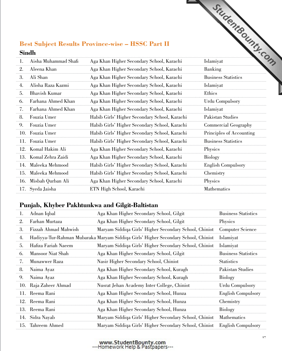### **Best Subject Results Province-wise – HSSC Part II Sindh**

| $\mathbf{L}$ | Aisha Muhammad Shafi  | Aga Khan Higher Secondary School, Karachi     | ٠c<br>Islamiyat            |
|--------------|-----------------------|-----------------------------------------------|----------------------------|
| 2.           | Aleena Khan           | Aga Khan Higher Secondary School, Karachi     | Banking                    |
| 3.           | Ali Shan              | Aga Khan Higher Secondary School, Karachi     | <b>Business Statistics</b> |
| 4.           | Alisha Raza Kazmi     | Aga Khan Higher Secondary School, Karachi     | Islamiyat                  |
| 5.           | <b>Bhavish Kumar</b>  | Aga Khan Higher Secondary School, Karachi     | Ethics                     |
| 6.           | Farhana Ahmed Khan    | Aga Khan Higher Secondary School, Karachi     | Urdu Compulsory            |
| 7.           | Farhana Ahmed Khan    | Aga Khan Higher Secondary School, Karachi     | Islamiyat                  |
| 8.           | Fouzia Umer           | Habib Girls' Higher Secondary School, Karachi | Pakistan Studies           |
| 9.           | Fouzia Umer           | Habib Girls' Higher Secondary School, Karachi | Commercial Geography       |
|              | 10. Fouzia Umer       | Habib Girls' Higher Secondary School, Karachi | Principles of Accounting   |
|              | 11. Fouzia Umer       | Habib Girls' Higher Secondary School, Karachi | <b>Business Statistics</b> |
|              | 12. Komal Hakim Ali   | Aga Khan Higher Secondary School, Karachi     | Physics                    |
|              | 13. Komal Zehra Zaidi | Aga Khan Higher Secondary School, Karachi     | Biology                    |
|              | 14. Maleeka Mehmood   | Habib Girls' Higher Secondary School, Karachi | <b>English Compulsory</b>  |
|              | 15. Maleeka Mehmood   | Habib Girls' Higher Secondary School, Karachi | Chemistry                  |
|              | 16. Misbah Qurban Ali | Aga Khan Higher Secondary School, Karachi     | Physics                    |
|              | 17. Syeda Jaisha      | ETN High School, Karachi                      | <b>Mathematics</b>         |
|              |                       |                                               |                            |

| $\mathbf{L}$ | Adnan Iqbal           | Aga Khan Higher Secondary School, Gilgit                                           | <b>Business Statistics</b> |
|--------------|-----------------------|------------------------------------------------------------------------------------|----------------------------|
| 2.           | Farhan Murtaza        | Aga Khan Higher Secondary School, Gilgit                                           | Physics                    |
| 3.           | Fizzah Ahmad Mahwish  | Maryam Siddiqa Girls' Higher Secondary School, Chiniot                             | Computer Science           |
| 4.           |                       | Hadiyya-Tur-Rahman Mubaraka Maryam Siddiqa Girls' Higher Secondary School, Chiniot | Islamiyat                  |
| 5.           | Hafiza Fariah Naeem   | Maryam Siddiqa Girls' Higher Secondary School, Chiniot                             | Islamiyat                  |
| 6.           | Mansoor Niat Shah     | Aga Khan Higher Secondary School, Gilgit                                           | <b>Business Statistics</b> |
| 7.           | Munawwer Raza         | Nasir Higher Secondary School, Chiniot                                             | <b>Statistics</b>          |
| 8.           | Naima Ayaz            | Aga Khan Higher Secondary School, Kuragh                                           | Pakistan Studies           |
| 9.           | Naima Ayaz            | Aga Khan Higher Secondary School, Kuragh                                           | Biology                    |
|              | 10. Raja Zaheer Ahmad | Nusrat Jehan Academy Inter College, Chiniot                                        | <b>Urdu Compulsory</b>     |
|              | 11. Reema Rani        | Aga Khan Higher Secondary School, Hunza                                            | <b>English Compulsory</b>  |
|              | 12. Reema Rani        | Aga Khan Higher Secondary School, Hunza                                            | Chemistry                  |
|              | 13. Reema Rani        | Aga Khan Higher Secondary School, Hunza                                            | <b>Biology</b>             |
|              | 14. Sidra Nayab       | Maryam Siddiqa Girls' Higher Secondary School, Chiniot                             | <b>Mathematics</b>         |
|              | 15. Tahreem Ahmed     | Maryam Siddiqa Girls' Higher Secondary School, Chiniot                             | <b>English Compulsory</b>  |